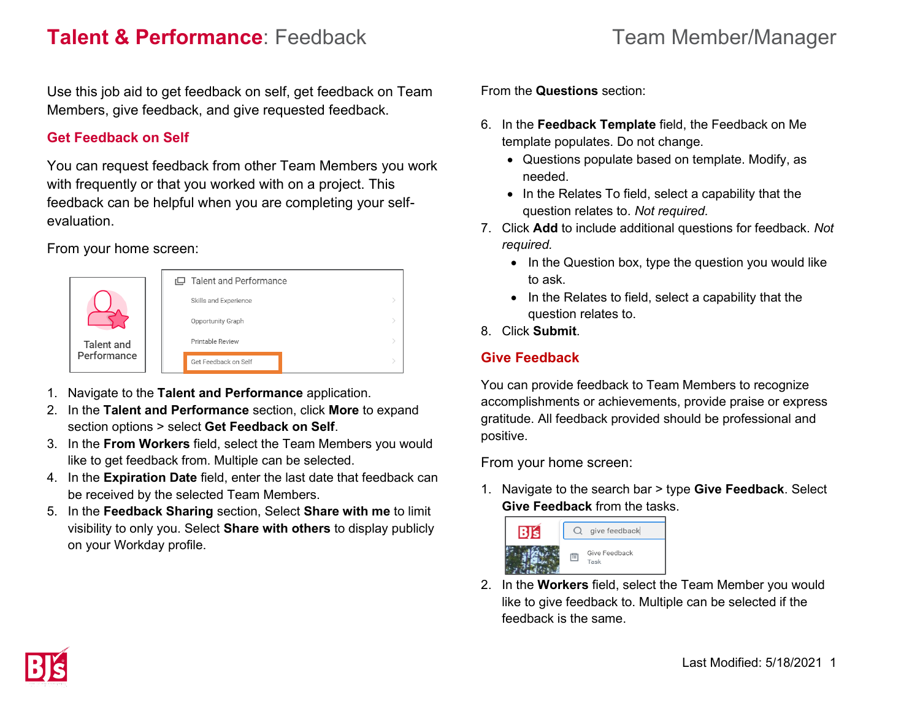## **Talent & Performance**: Feedback Team Member/Manager

Use this job aid to get feedback on self, get feedback on Team Members, give feedback, and give requested feedback.

#### **Get Feedback on Self**

You can request feedback from other Team Members you work with frequently or that you worked with on a project. This feedback can be helpful when you are completing your selfevaluation.

From your home screen:



- 1. Navigate to the **Talent and Performance** application.
- 2. In the **Talent and Performance** section, click **More** to expand section options > select **Get Feedback on Self**.
- 3. In the **From Workers** field, select the Team Members you would like to get feedback from. Multiple can be selected.
- 4. In the **Expiration Date** field, enter the last date that feedback can be received by the selected Team Members.
- 5. In the **Feedback Sharing** section, Select **Share with me** to limit visibility to only you. Select **Share with others** to display publicly on your Workday profile.

From the **Questions** section:

- 6. In the **Feedback Template** field, the Feedback on Me template populates. Do not change.
	- Questions populate based on template. Modify, as needed.
	- In the Relates To field, select a capability that the question relates to. *Not required.*
- 7. Click **Add** to include additional questions for feedback. *Not required.* 
	- In the Question box, type the question you would like to ask.
	- In the Relates to field, select a capability that the question relates to.
- 8. Click **Submit**.

### **Give Feedback**

You can provide feedback to Team Members to recognize accomplishments or achievements, provide praise or express gratitude. All feedback provided should be professional and positive.

From your home screen:

1. Navigate to the search bar > type **Give Feedback**. Select **Give Feedback** from the tasks.



2. In the **Workers** field, select the Team Member you would like to give feedback to. Multiple can be selected if the feedback is the same.

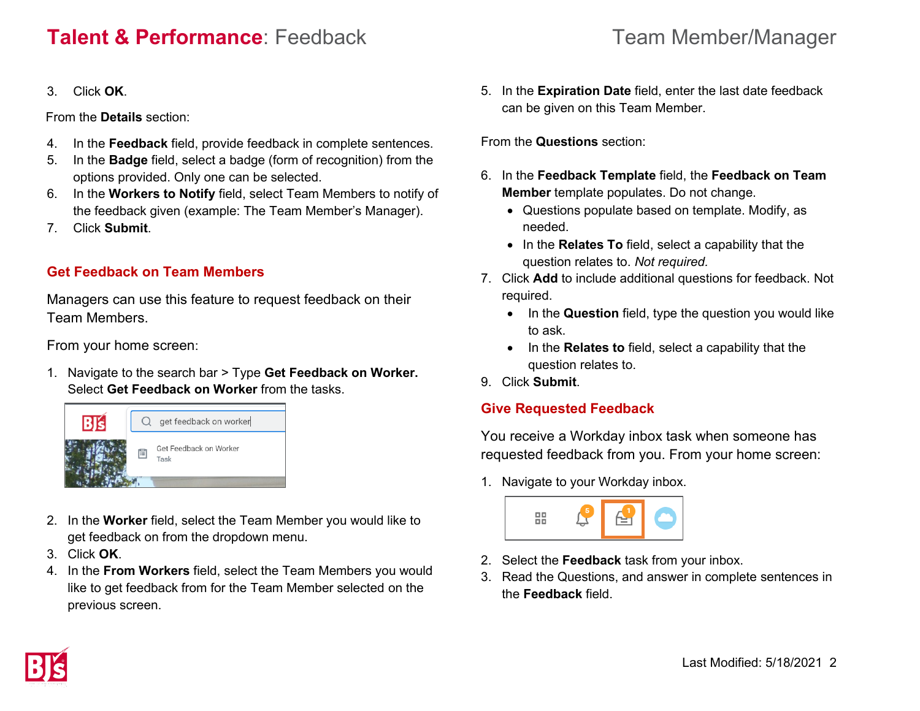# **Talent & Performance**: Feedback Team Member/Manager

#### 3. Click **OK**.

From the **Details** section:

- 4. In the **Feedback** field, provide feedback in complete sentences.
- 5. In the **Badge** field, select a badge (form of recognition) from the options provided. Only one can be selected.
- 6. In the **Workers to Notify** field, select Team Members to notify of the feedback given (example: The Team Member's Manager).
- 7. Click **Submit**.

## **Get Feedback on Team Members**

Managers can use this feature to request feedback on their Team Members.

From your home screen:

1. Navigate to the search bar > Type **Get Feedback on Worker.** Select **Get Feedback on Worker** from the tasks.



- 2. In the **Worker** field, select the Team Member you would like to get feedback on from the dropdown menu.
- 3. Click **OK**.
- 4. In the **From Workers** field, select the Team Members you would like to get feedback from for the Team Member selected on the previous screen.

5. In the **Expiration Date** field, enter the last date feedback can be given on this Team Member.

From the **Questions** section:

- 6. In the **Feedback Template** field, the **Feedback on Team Member** template populates. Do not change.
	- Questions populate based on template. Modify, as needed.
	- In the **Relates To** field, select a capability that the question relates to. *Not required.*
- 7. Click **Add** to include additional questions for feedback. Not required.
	- In the **Question** field, type the question you would like to ask.
	- In the **Relates to** field, select a capability that the question relates to.
- 9. Click **Submit**.

## **Give Requested Feedback**

You receive a Workday inbox task when someone has requested feedback from you. From your home screen:

1. Navigate to your Workday inbox.



- 2. Select the **Feedback** task from your inbox.
- 3. Read the Questions, and answer in complete sentences in the **Feedback** field.